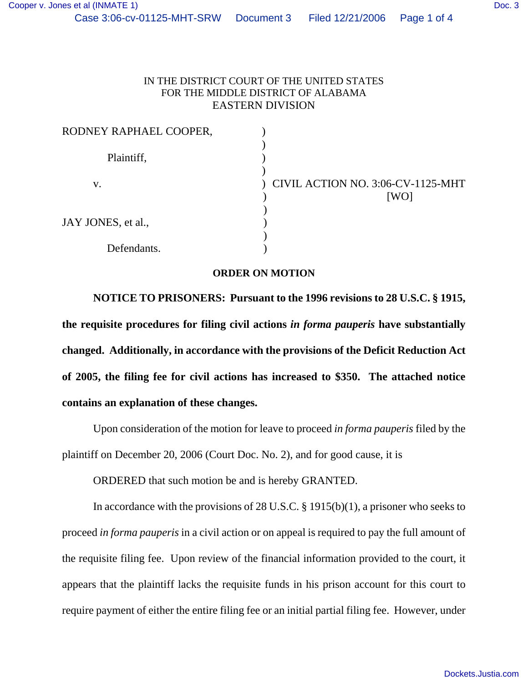## IN THE DISTRICT COURT OF THE UNITED STATES FOR THE MIDDLE DISTRICT OF ALABAMA EASTERN DIVISION

| RODNEY RAPHAEL COOPER, |                                           |
|------------------------|-------------------------------------------|
| Plaintiff,             |                                           |
| V.                     | CIVIL ACTION NO. 3:06-CV-1125-MHT<br>[WO] |
| JAY JONES, et al.,     |                                           |
| Defendants.            |                                           |

## **ORDER ON MOTION**

**NOTICE TO PRISONERS: Pursuant to the 1996 revisions to 28 U.S.C. § 1915, the requisite procedures for filing civil actions** *in forma pauperis* **have substantially changed. Additionally, in accordance with the provisions of the Deficit Reduction Act of 2005, the filing fee for civil actions has increased to \$350. The attached notice contains an explanation of these changes.**

Upon consideration of the motion for leave to proceed *in forma pauperis* filed by the plaintiff on December 20, 2006 (Court Doc. No. 2), and for good cause, it is

ORDERED that such motion be and is hereby GRANTED.

In accordance with the provisions of 28 U.S.C. § 1915(b)(1), a prisoner who seeks to proceed *in forma pauperis* in a civil action or on appeal is required to pay the full amount of the requisite filing fee. Upon review of the financial information provided to the court, it appears that the plaintiff lacks the requisite funds in his prison account for this court to require payment of either the entire filing fee or an initial partial filing fee. However, under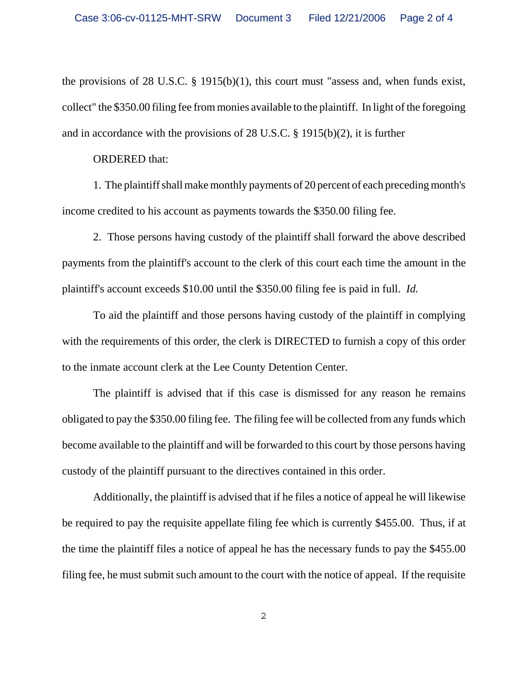the provisions of 28 U.S.C. § 1915(b)(1), this court must "assess and, when funds exist, collect" the \$350.00 filing fee from monies available to the plaintiff. In light of the foregoing and in accordance with the provisions of 28 U.S.C. § 1915(b)(2), it is further

## ORDERED that:

1. The plaintiff shall make monthly payments of 20 percent of each preceding month's income credited to his account as payments towards the \$350.00 filing fee.

2. Those persons having custody of the plaintiff shall forward the above described payments from the plaintiff's account to the clerk of this court each time the amount in the plaintiff's account exceeds \$10.00 until the \$350.00 filing fee is paid in full. *Id.* 

To aid the plaintiff and those persons having custody of the plaintiff in complying with the requirements of this order, the clerk is DIRECTED to furnish a copy of this order to the inmate account clerk at the Lee County Detention Center.

The plaintiff is advised that if this case is dismissed for any reason he remains obligated to pay the \$350.00 filing fee. The filing fee will be collected from any funds which become available to the plaintiff and will be forwarded to this court by those persons having custody of the plaintiff pursuant to the directives contained in this order.

Additionally, the plaintiff is advised that if he files a notice of appeal he will likewise be required to pay the requisite appellate filing fee which is currently \$455.00. Thus, if at the time the plaintiff files a notice of appeal he has the necessary funds to pay the \$455.00 filing fee, he must submit such amount to the court with the notice of appeal. If the requisite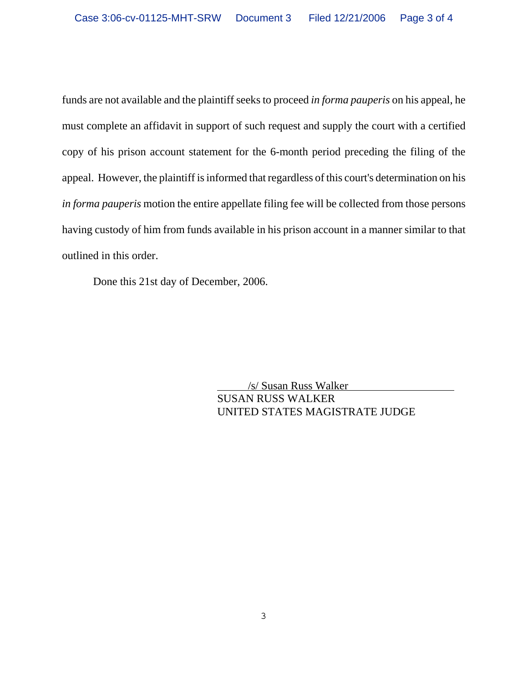funds are not available and the plaintiff seeks to proceed *in forma pauperis* on his appeal, he must complete an affidavit in support of such request and supply the court with a certified copy of his prison account statement for the 6-month period preceding the filing of the appeal. However, the plaintiff is informed that regardless of this court's determination on his *in forma pauperis* motion the entire appellate filing fee will be collected from those persons having custody of him from funds available in his prison account in a manner similar to that outlined in this order.

Done this 21st day of December, 2006.

 /s/ Susan Russ Walker SUSAN RUSS WALKER UNITED STATES MAGISTRATE JUDGE